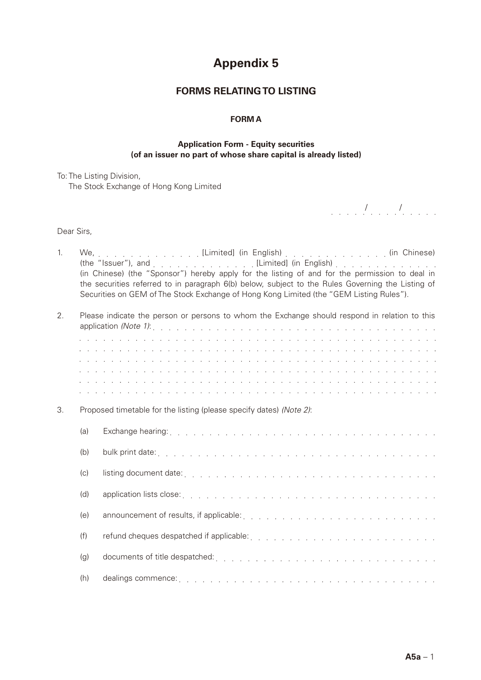# **Appendix 5**

## **FORMS RELATING TO LISTING**

#### **FORM A**

#### **Application Form - Equity securities (of an issuer no part of whose share capital is already listed)**

To: The Listing Division, The Stock Exchange of Hong Kong Limited

/ /

Dear Sirs,

| 1. |     | We, [Limited] (in English) (in Chinese)                                                                                                                                                                                                                                                                                          |
|----|-----|----------------------------------------------------------------------------------------------------------------------------------------------------------------------------------------------------------------------------------------------------------------------------------------------------------------------------------|
|    |     | (the "Issuer"), and end as a contact of the contact of the set of the set of the limited (in English) and as a contact of the set of the set of the set of the set of the set of the set of the set of the set of the set of t<br>(in Chinese) (the "Sponsor") hereby apply for the listing of and for the permission to deal in |
|    |     | the securities referred to in paragraph 6(b) below, subject to the Rules Governing the Listing of                                                                                                                                                                                                                                |
|    |     | Securities on GEM of The Stock Exchange of Hong Kong Limited (the "GEM Listing Rules").                                                                                                                                                                                                                                          |
| 2. |     | Please indicate the person or persons to whom the Exchange should respond in relation to this                                                                                                                                                                                                                                    |
|    |     |                                                                                                                                                                                                                                                                                                                                  |
|    |     |                                                                                                                                                                                                                                                                                                                                  |
|    |     | a constitución de la caractería de la caractería de la caractería de la caractería de la caractería de la cara                                                                                                                                                                                                                   |
|    |     | a di sera de la caractería de la caractería de la caractería de la caractería de la caractería de la caracterí                                                                                                                                                                                                                   |
|    |     | a di serie della della della della della della della della della della della della della della della della del                                                                                                                                                                                                                   |
|    |     | a di serie della della della della della della della della della della della della della della della della del                                                                                                                                                                                                                   |
| 3. |     | Proposed timetable for the listing (please specify dates) (Note 2):                                                                                                                                                                                                                                                              |
|    | (a) | Exchange hearing: The Review Process of the Review Process of the Review Process of the Review Process of the Review Process of the Review Process of the Review Process of the Review Process of the Review Process of the Re                                                                                                   |
|    | (b) |                                                                                                                                                                                                                                                                                                                                  |
|    | (c) |                                                                                                                                                                                                                                                                                                                                  |
|    | (d) |                                                                                                                                                                                                                                                                                                                                  |
|    | (e) |                                                                                                                                                                                                                                                                                                                                  |
|    | (f) |                                                                                                                                                                                                                                                                                                                                  |
|    | (g) |                                                                                                                                                                                                                                                                                                                                  |
|    | (h) |                                                                                                                                                                                                                                                                                                                                  |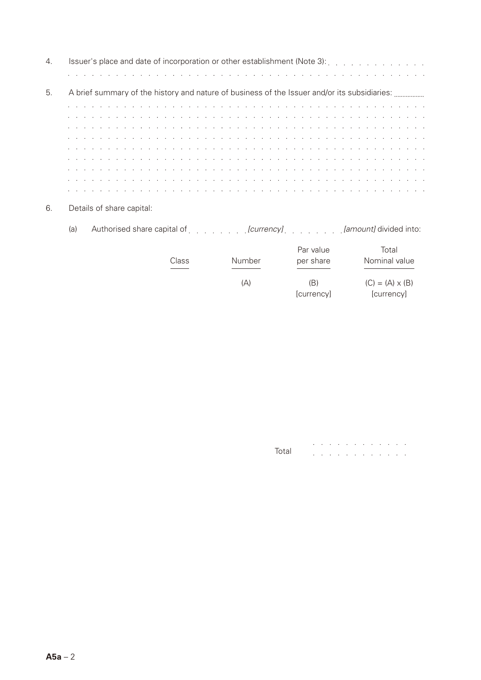| 4. |                                                                                                                                                                                                                               |  |
|----|-------------------------------------------------------------------------------------------------------------------------------------------------------------------------------------------------------------------------------|--|
|    |                                                                                                                                                                                                                               |  |
| 5. | A brief summary of the history and nature of business of the Issuer and/or its subsidiaries:                                                                                                                                  |  |
|    | and a construction of the construction of the construction of the construction of the construction of the construction of the construction of the construction of the construction of the construction of the construction of |  |
|    | the second contract of the second contract of the second contract of the second contract of the second contract of                                                                                                            |  |
|    |                                                                                                                                                                                                                               |  |
|    |                                                                                                                                                                                                                               |  |
|    | the contract of the contract of the contract of the contract of the contract of the contract of the contract of                                                                                                               |  |
|    |                                                                                                                                                                                                                               |  |
|    |                                                                                                                                                                                                                               |  |
|    |                                                                                                                                                                                                                               |  |
|    |                                                                                                                                                                                                                               |  |

- 6. Details of share capital:
	- (a) Authorised share capital of *[currency] [amount]* divided into:

| Class | Number | Par value<br>per share | Total<br>Nominal value               |
|-------|--------|------------------------|--------------------------------------|
|       | (A)    | (B)<br>[currency]      | $(C) = (A) \times (B)$<br>[currency] |

|       |  |  | . |  |  |  |
|-------|--|--|---|--|--|--|
| Total |  |  | . |  |  |  |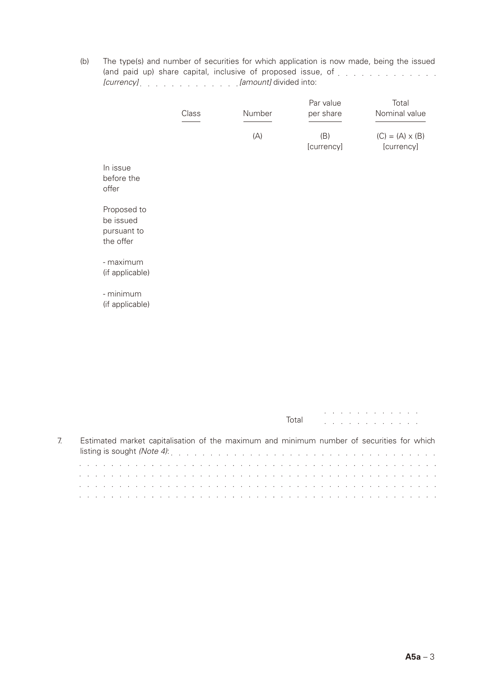(b) The type(s) and number of securities for which application is now made, being the issued (and paid up) share capital, inclusive of proposed issue, of *[currency] [amount]* divided into:

|                                                      | Class | Number | Par value<br>per share | Total<br>Nominal value               |
|------------------------------------------------------|-------|--------|------------------------|--------------------------------------|
|                                                      |       | (A)    | (B)<br>[currency]      | $(C) = (A) \times (B)$<br>[currency] |
| In issue<br>before the<br>offer                      |       |        |                        |                                      |
| Proposed to<br>be issued<br>pursuant to<br>the offer |       |        |                        |                                      |
| - maximum<br>(if applicable)                         |       |        |                        |                                      |
| - minimum<br>(if applicable)                         |       |        |                        |                                      |

|                                                                                                                 | Total | $\mathbf{r}$ , and $\mathbf{r}$ , and $\mathbf{r}$ , and $\mathbf{r}$ , and $\mathbf{r}$ |
|-----------------------------------------------------------------------------------------------------------------|-------|------------------------------------------------------------------------------------------|
| Estimated market capitalisation of the maximum and minimum number of securities for which                       |       |                                                                                          |
|                                                                                                                 |       |                                                                                          |
|                                                                                                                 |       |                                                                                          |
| the contract of the contract of the contract of the contract of the contract of the contract of the contract of |       |                                                                                          |
|                                                                                                                 |       |                                                                                          |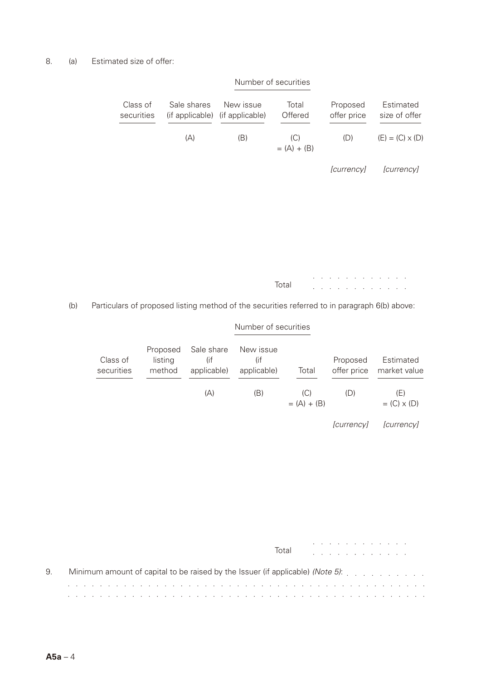#### 8. (a) Estimated size of offer:

| Estimated<br>size of offer | Proposed<br>offer price | Total<br>Offered     | New issue<br>(if applicable) | Sale shares<br>(if applicable) | Class of<br>securities |
|----------------------------|-------------------------|----------------------|------------------------------|--------------------------------|------------------------|
| $(E) = (C) \times (D)$     | (D)                     | (C)<br>$= (A) + (B)$ | (B)                          | (A)                            |                        |
| [currency]                 | [currency]              |                      |                              |                                |                        |
|                            |                         |                      |                              |                                |                        |
|                            |                         |                      |                              |                                |                        |
|                            |                         |                      |                              |                                |                        |
|                            |                         |                      |                              |                                |                        |

Total

 $\mathcal{L}^{\mathcal{A}}$  , where  $\mathcal{L}^{\mathcal{A}}$  , we have a set of  $\mathcal{L}^{\mathcal{A}}$  $\mathcal{L}^{\mathcal{A}}$  . The set of the set of the set of the  $\mathcal{A}$ 

Number of securities

#### Number of securities

(b) Particulars of proposed listing method of the securities referred to in paragraph 6(b) above:

| Class of<br>securities | Proposed<br>listing<br>method | Sale share<br>(if<br>applicable) | New issue<br>(if<br>applicable) | Total                | Proposed<br>offer price | Estimated<br>market value   |
|------------------------|-------------------------------|----------------------------------|---------------------------------|----------------------|-------------------------|-----------------------------|
|                        |                               | (A)                              | (B)                             | (C)<br>$= (A) + (B)$ | (D)                     | (E)<br>$=$ (C) $\times$ (D) |
|                        |                               |                                  |                                 |                      | <i>currencyl</i>        | <i>currencyl</i>            |

### a carrier and a carrier and a Total <u>.</u> . . . . . . . . . . . . 9. Minimum amount of capital to be raised by the Issuer (if applicable) *(Note 5)*: and the company of the company of the company of the company of the company of the company of the company of the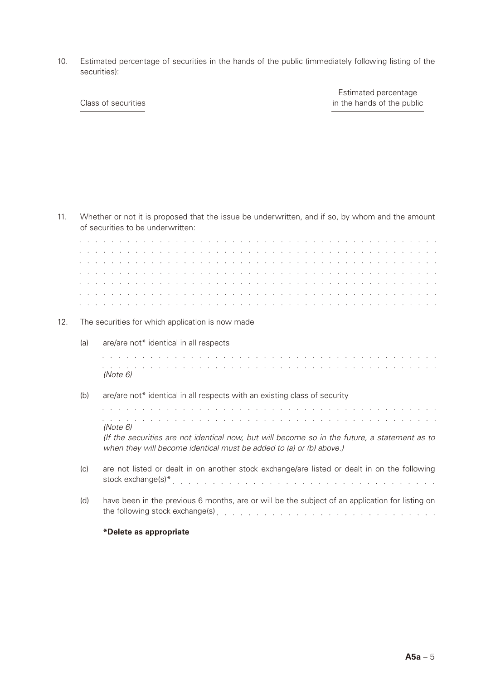10. Estimated percentage of securities in the hands of the public (immediately following listing of the securities):

Estimated percentage Class of securities in the hands of the public

| 11. |          | Whether or not it is proposed that the issue be underwritten, and if so, by whom and the amount<br>of securities to be underwritten:                                                                                                                                                                                                                                                                                                                                                                                                                                                                |
|-----|----------|-----------------------------------------------------------------------------------------------------------------------------------------------------------------------------------------------------------------------------------------------------------------------------------------------------------------------------------------------------------------------------------------------------------------------------------------------------------------------------------------------------------------------------------------------------------------------------------------------------|
|     |          | a constitution de la constitution de la constitution de la constitution de la constitution de la constitution<br><u>. A series de la caractería de la caractería de la caractería de la caractería de la caractería de la caracterí</u><br>a constitution de la constitution de la constitution de la constitution de la constitution de la constitution<br>a di sera de la caractería de la caractería de la caractería de la caractería de la caractería de la caracterí<br>in a constitution of the constitution of the constitution of the constitution of the constitution of the constitution |
| 12. |          | The securities for which application is now made                                                                                                                                                                                                                                                                                                                                                                                                                                                                                                                                                    |
|     | (a)      | are/are not* identical in all respects<br>a constitution de la constitution de la constitution de la constitution de la constitution de la constitution<br>a constitution of the constitution of the constitution of the constitution of the constitution of the constitution                                                                                                                                                                                                                                                                                                                       |
|     | (Note 6) |                                                                                                                                                                                                                                                                                                                                                                                                                                                                                                                                                                                                     |
|     | (b)      | are/are not* identical in all respects with an existing class of security<br>a constitution de la constitución de la constitución de la constitución de la constitución de la constitución<br><u>. In the second contract of the second contract of the second contract of the second contract of the second second</u><br>(Note 6)<br>(If the securities are not identical now, but will become so in the future, a statement as to<br>when they will become identical must be added to (a) or (b) above.)                                                                                         |
|     | (c)      | are not listed or dealt in on another stock exchange/are listed or dealt in on the following                                                                                                                                                                                                                                                                                                                                                                                                                                                                                                        |
|     | (d)      | have been in the previous 6 months, are or will be the subject of an application for listing on<br>the following stock exchange(s) enterprise and and all the state of the state of the state of the state of the                                                                                                                                                                                                                                                                                                                                                                                   |
|     |          | *Delete as appropriate                                                                                                                                                                                                                                                                                                                                                                                                                                                                                                                                                                              |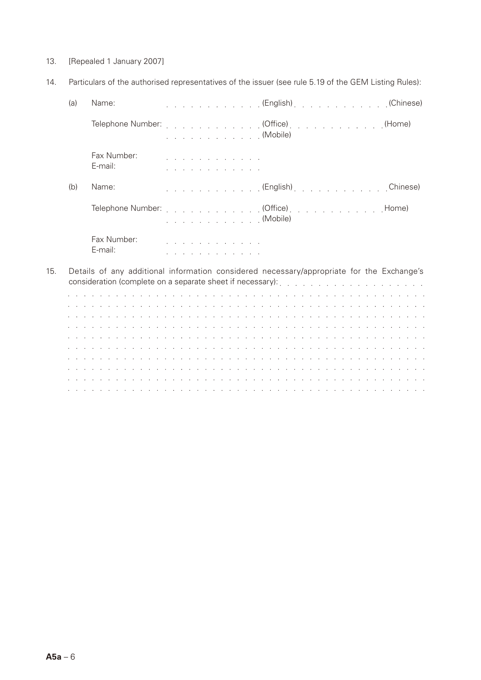- 13. [Repealed 1 January 2007]
- 14. Particulars of the authorised representatives of the issuer (see rule 5.19 of the GEM Listing Rules):

|     | (a) | Name:                  |                                                            | . (English). (Chinese)                                                                    |
|-----|-----|------------------------|------------------------------------------------------------|-------------------------------------------------------------------------------------------|
|     |     |                        | . (Mobile)                                                 | Telephone Number: (Office) (Home)                                                         |
|     |     | Fax Number:<br>E-mail: | <u>.</u><br>.                                              |                                                                                           |
|     | (b) | Name:                  |                                                            | . (English). Chinese)                                                                     |
|     |     |                        | . (Mobile)                                                 |                                                                                           |
|     |     | Fax Number:<br>E-mail: | a construction of the construction of<br><u>.</u>          |                                                                                           |
| 15. |     |                        | consideration (complete on a separate sheet if necessary): | Details of any additional information considered necessary/appropriate for the Exchange's |

|                                                                                                                 |  |  |  |  |  |  |  |  |  |  |  |  | . |  |  |  |  |  |  |  |  |  |  |
|-----------------------------------------------------------------------------------------------------------------|--|--|--|--|--|--|--|--|--|--|--|--|---|--|--|--|--|--|--|--|--|--|--|
| the contract of the contract of the contract of the contract of the contract of the contract of the contract of |  |  |  |  |  |  |  |  |  |  |  |  |   |  |  |  |  |  |  |  |  |  |  |
|                                                                                                                 |  |  |  |  |  |  |  |  |  |  |  |  |   |  |  |  |  |  |  |  |  |  |  |
|                                                                                                                 |  |  |  |  |  |  |  |  |  |  |  |  |   |  |  |  |  |  |  |  |  |  |  |
|                                                                                                                 |  |  |  |  |  |  |  |  |  |  |  |  |   |  |  |  |  |  |  |  |  |  |  |
|                                                                                                                 |  |  |  |  |  |  |  |  |  |  |  |  |   |  |  |  |  |  |  |  |  |  |  |
|                                                                                                                 |  |  |  |  |  |  |  |  |  |  |  |  |   |  |  |  |  |  |  |  |  |  |  |
| the contract of the contract of the contract of the contract of the contract of the contract of the contract of |  |  |  |  |  |  |  |  |  |  |  |  |   |  |  |  |  |  |  |  |  |  |  |
|                                                                                                                 |  |  |  |  |  |  |  |  |  |  |  |  |   |  |  |  |  |  |  |  |  |  |  |
|                                                                                                                 |  |  |  |  |  |  |  |  |  |  |  |  |   |  |  |  |  |  |  |  |  |  |  |
|                                                                                                                 |  |  |  |  |  |  |  |  |  |  |  |  |   |  |  |  |  |  |  |  |  |  |  |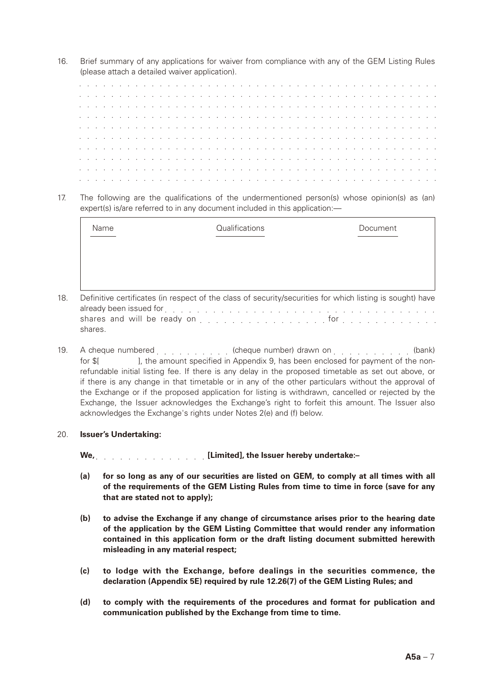16. Brief summary of any applications for waiver from compliance with any of the GEM Listing Rules (please attach a detailed waiver application).

|  |  |  |  |  |  |  |  |  |  |  |  |  |  |  |  |  |  |  |  |  | a constitution of a constitution of a constitution of a constitution of a constitution of a constitution of a      |
|--|--|--|--|--|--|--|--|--|--|--|--|--|--|--|--|--|--|--|--|--|--------------------------------------------------------------------------------------------------------------------|
|  |  |  |  |  |  |  |  |  |  |  |  |  |  |  |  |  |  |  |  |  | a constitution of the constitution of the constitution of the constitution of the constitution of the constitution |
|  |  |  |  |  |  |  |  |  |  |  |  |  |  |  |  |  |  |  |  |  | a constitution of a constitution of a constitution of a constitution of a constitution of a constitution of a      |
|  |  |  |  |  |  |  |  |  |  |  |  |  |  |  |  |  |  |  |  |  | a constitution of a constitution of a constitution of a constitution of a constitution of a constitution of a      |
|  |  |  |  |  |  |  |  |  |  |  |  |  |  |  |  |  |  |  |  |  | a caracteristica caracteristica caracteristica caracteristica caracteristica caracteristica caracteristica a s     |
|  |  |  |  |  |  |  |  |  |  |  |  |  |  |  |  |  |  |  |  |  | a constitution of a constitution of a constitution of a constitution of a constitution of a constitution of a      |
|  |  |  |  |  |  |  |  |  |  |  |  |  |  |  |  |  |  |  |  |  | a constitution of the constitution of the constitution of the constitution of the constitution of the constitution |
|  |  |  |  |  |  |  |  |  |  |  |  |  |  |  |  |  |  |  |  |  | a constitution of a constitution of a constitution of a constitution of a constitution of a constitution of a      |
|  |  |  |  |  |  |  |  |  |  |  |  |  |  |  |  |  |  |  |  |  | a constitution of a constitution of a constitution of a constitution of a constitution of a constitution of a      |
|  |  |  |  |  |  |  |  |  |  |  |  |  |  |  |  |  |  |  |  |  | a constitution of the constitution of the constitution of the constitution of the constitution of the constitution |

17. The following are the qualifications of the undermentioned person(s) whose opinion(s) as (an) expert(s) is/are referred to in any document included in this application:

| Name | Qualifications | Document |
|------|----------------|----------|
|      |                |          |
|      |                |          |
|      |                |          |

- 18. Definitive certificates (in respect of the class of security/securities for which listing is sought) have already been issued for extension and contact the contact of the contact of the contact of the contact of the contact of the contact of the contact of the contact of the contact of the contact of the contact of the contact shares and will be ready on  $\ldots$   $\ldots$   $\ldots$   $\ldots$   $\ldots$   $\ldots$  for  $\ldots$   $\ldots$   $\ldots$   $\ldots$   $\ldots$ shares.
- 19. A cheque numbered entitled and cheque number) drawn on entitled and cheque numbers for \$[  $\blacksquare$ , the amount specified in Appendix 9, has been enclosed for payment of the nonrefundable initial listing fee. If there is any delay in the proposed timetable as set out above, or if there is any change in that timetable or in any of the other particulars without the approval of the Exchange or if the proposed application for listing is withdrawn, cancelled or rejected by the Exchange, the Issuer acknowledges the Exchange's right to forfeit this amount. The Issuer also acknowledges the Exchange's rights under Notes 2(e) and (f) below.

#### 20. **Issuer's Undertaking:**

**We, [Limited], the Issuer hereby undertake:–**

- **(a) for so long as any of our securities are listed on GEM, to comply at all times with all of the requirements of the GEM Listing Rules from time to time in force (save for any that are stated not to apply);**
- **(b) to advise the Exchange if any change of circumstance arises prior to the hearing date of the application by the GEM Listing Committee that would render any information contained in this application form or the draft listing document submitted herewith misleading in any material respect;**
- **(c) to lodge with the Exchange, before dealings in the securities commence, the declaration (Appendix 5E) required by rule 12.26(7) of the GEM Listing Rules; and**
- **(d) to comply with the requirements of the procedures and format for publication and communication published by the Exchange from time to time.**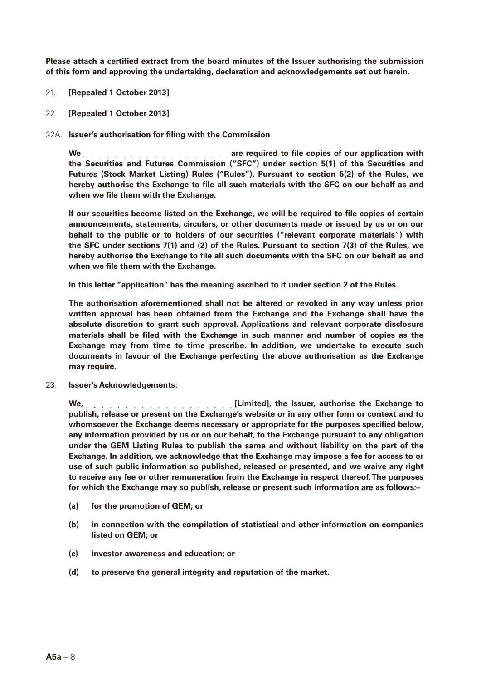**Please attach a certified extract from the board minutes of the Issuer authorising the submission of this form and approving the undertaking, declaration and acknowledgements set out herein.**

- 21. **[Repealed 1 October 2013]**
- 22. **[Repealed 1 October 2013]**
- 22A. **Issuer's authorisation for filing with the Commission**

We **Are required to file copies of our application with the Securities and Futures Commission ("SFC") under section 5(1) of the Securities and Futures (Stock Market Listing) Rules ("Rules"). Pursuant to section 5(2) of the Rules, we hereby authorise the Exchange to file all such materials with the SFC on our behalf as and when we file them with the Exchange.**

**If our securities become listed on the Exchange, we will be required to file copies of certain announcements, statements, circulars, or other documents made or issued by us or on our behalf to the public or to holders of our securities ("relevant corporate materials") with the SFC under sections 7(1) and (2) of the Rules. Pursuant to section 7(3) of the Rules, we hereby authorise the Exchange to file all such documents with the SFC on our behalf as and when we file them with the Exchange.**

**In this letter "application" has the meaning ascribed to it under section 2 of the Rules.**

**The authorisation aforementioned shall not be altered or revoked in any way unless prior written approval has been obtained from the Exchange and the Exchange shall have the absolute discretion to grant such approval. Applications and relevant corporate disclosure materials shall be filed with the Exchange in such manner and number of copies as the Exchange may from time to time prescribe. In addition, we undertake to execute such documents in favour of the Exchange perfecting the above authorisation as the Exchange may require.**

23. **Issuer's Acknowledgements:**

**We, [Limited], the Issuer, authorise the Exchange to publish, release or present on the Exchange's website or in any other form or context and to whomsoever the Exchange deems necessary or appropriate for the purposes specified below, any information provided by us or on our behalf, to the Exchange pursuant to any obligation under the GEM Listing Rules to publish the same and without liability on the part of the Exchange. In addition, we acknowledge that the Exchange may impose a fee for access to or use of such public information so published, released or presented, and we waive any right to receive any fee or other remuneration from the Exchange in respect thereof. The purposes for which the Exchange may so publish, release or present such information are as follows:–**

- **(a) for the promotion of GEM; or**
- **(b) in connection with the compilation of statistical and other information on companies listed on GEM; or**
- **(c) investor awareness and education; or**
- **(d) to preserve the general integrity and reputation of the market.**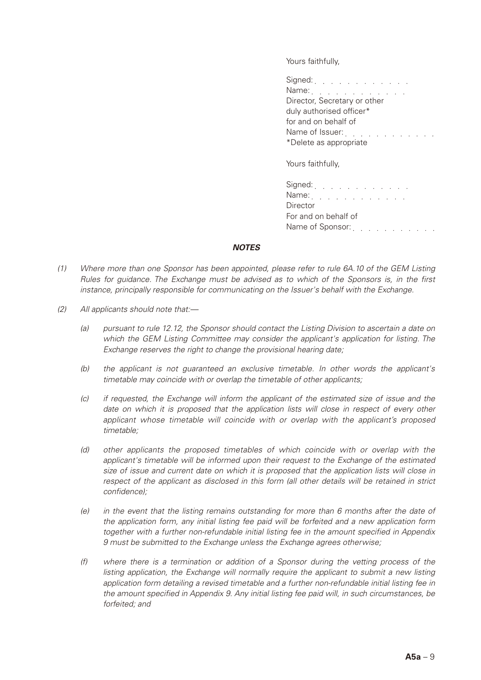Yours faithfully,

| Signed: $\ldots$ $\ldots$ $\ldots$ $\ldots$ $\ldots$<br>Name: $\ldots$ $\ldots$ $\ldots$ $\ldots$<br>Director, Secretary or other<br>duly authorised officer*<br>for and on behalf of |
|---------------------------------------------------------------------------------------------------------------------------------------------------------------------------------------|
| Name of Issuer:<br>and the state of the state<br>*Delete as appropriate                                                                                                               |
| Yours faithfully.                                                                                                                                                                     |

ours faithfully,

| Signed: $\ldots$ $\ldots$ $\ldots$ $\ldots$ $\ldots$                                                                                |  |
|-------------------------------------------------------------------------------------------------------------------------------------|--|
| Name: $\ldots$ $\ldots$ $\ldots$ $\ldots$ $\ldots$                                                                                  |  |
| Director                                                                                                                            |  |
| For and on behalf of                                                                                                                |  |
| Name of Sponsor:<br>the contract of the contract of the contract of the contract of the contract of the contract of the contract of |  |

#### *NOTES*

- *(1) Where more than one Sponsor has been appointed, please refer to rule 6A.10 of the GEM Listing Rules for guidance. The Exchange must be advised as to which of the Sponsors is, in the first instance, principally responsible for communicating on the Issuer's behalf with the Exchange.*
- *(2) All applicants should note that:—*
	- *(a) pursuant to rule 12.12, the Sponsor should contact the Listing Division to ascertain a date on which the GEM Listing Committee may consider the applicant's application for listing. The Exchange reserves the right to change the provisional hearing date;*
	- *(b) the applicant is not guaranteed an exclusive timetable. In other words the applicant's timetable may coincide with or overlap the timetable of other applicants;*
	- *(c) if requested, the Exchange will inform the applicant of the estimated size of issue and the*  date on which it is proposed that the application lists will close in respect of every other *applicant whose timetable will coincide with or overlap with the applicant's proposed timetable;*
	- *(d) other applicants the proposed timetables of which coincide with or overlap with the applicant's timetable will be informed upon their request to the Exchange of the estimated size of issue and current date on which it is proposed that the application lists will close in respect of the applicant as disclosed in this form (all other details will be retained in strict confidence);*
	- *(e) in the event that the listing remains outstanding for more than 6 months after the date of the application form, any initial listing fee paid will be forfeited and a new application form together with a further non-refundable initial listing fee in the amount specified in Appendix 9 must be submitted to the Exchange unless the Exchange agrees otherwise;*
	- *(f) where there is a termination or addition of a Sponsor during the vetting process of the listing application, the Exchange will normally require the applicant to submit a new listing application form detailing a revised timetable and a further non-refundable initial listing fee in the amount specified in Appendix 9. Any initial listing fee paid will, in such circumstances, be forfeited; and*